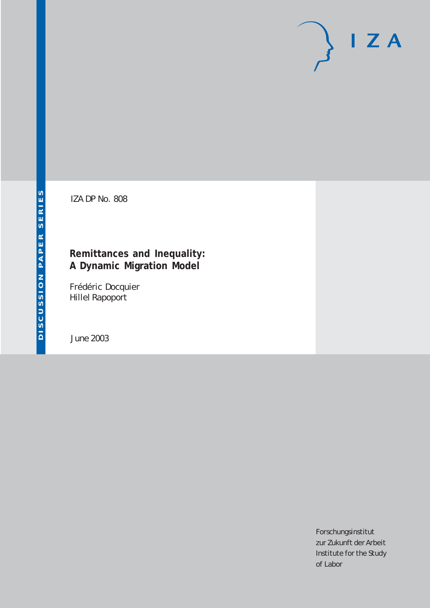# $I Z A$

IZA DP No. 808

# **Remittances and Inequality: A Dynamic Migration Model**

Frédéric Docquier Hillel Rapoport

June 2003

Forschungsinstitut zur Zukunft der Arbeit Institute for the Study of Labor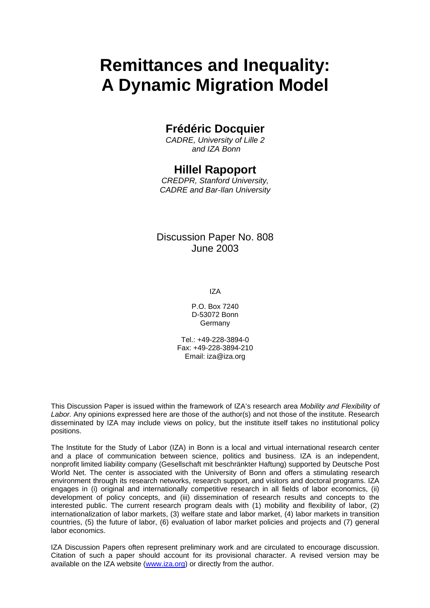# **Remittances and Inequality: A Dynamic Migration Model**

## **Frédéric Docquier**

*CADRE, University of Lille 2 and IZA Bonn* 

## **Hillel Rapoport**

*CREDPR, Stanford University, CADRE and Bar-Ilan University* 

### Discussion Paper No. 808 June 2003

IZA

P.O. Box 7240 D-53072 Bonn Germany

Tel.: +49-228-3894-0 Fax: +49-228-3894-210 Email: [iza@iza.org](mailto:iza@iza.org)

This Discussion Paper is issued within the framework of IZA's research area *Mobility and Flexibility of Labor.* Any opinions expressed here are those of the author(s) and not those of the institute. Research disseminated by IZA may include views on policy, but the institute itself takes no institutional policy positions.

The Institute for the Study of Labor (IZA) in Bonn is a local and virtual international research center and a place of communication between science, politics and business. IZA is an independent, nonprofit limited liability company (Gesellschaft mit beschränkter Haftung) supported by Deutsche Post World Net. The center is associated with the University of Bonn and offers a stimulating research environment through its research networks, research support, and visitors and doctoral programs. IZA engages in (i) original and internationally competitive research in all fields of labor economics, (ii) development of policy concepts, and (iii) dissemination of research results and concepts to the interested public. The current research program deals with (1) mobility and flexibility of labor, (2) internationalization of labor markets, (3) welfare state and labor market, (4) labor markets in transition countries, (5) the future of labor, (6) evaluation of labor market policies and projects and (7) general labor economics.

IZA Discussion Papers often represent preliminary work and are circulated to encourage discussion. Citation of such a paper should account for its provisional character. A revised version may be available on the IZA website ([www.iza.org](http://www.iza.org/)) or directly from the author.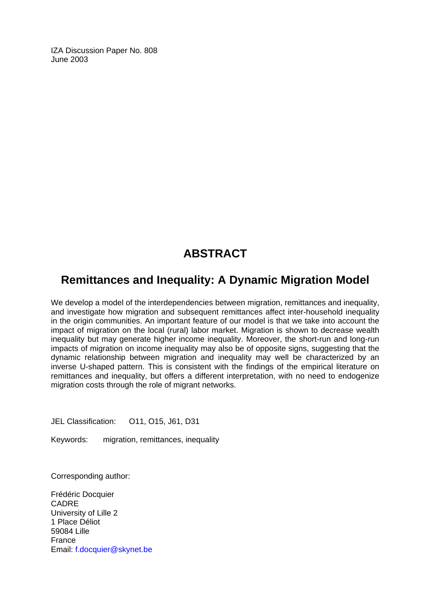IZA Discussion Paper No. 808 June 2003

# **ABSTRACT**

# **Remittances and Inequality: A Dynamic Migration Model**

We develop a model of the interdependencies between migration, remittances and inequality, and investigate how migration and subsequent remittances affect inter-household inequality in the origin communities. An important feature of our model is that we take into account the impact of migration on the local (rural) labor market. Migration is shown to decrease wealth inequality but may generate higher income inequality. Moreover, the short-run and long-run impacts of migration on income inequality may also be of opposite signs, suggesting that the dynamic relationship between migration and inequality may well be characterized by an inverse U-shaped pattern. This is consistent with the findings of the empirical literature on remittances and inequality, but offers a different interpretation, with no need to endogenize migration costs through the role of migrant networks.

JEL Classification: O11, O15, J61, D31

Keywords: migration, remittances, inequality

Corresponding author:

Frédéric Docquier CADRE University of Lille 2 1 Place Déliot 59084 Lille France Email: [f.docquier@skynet.be](mailto:f.docquier@skynet.be)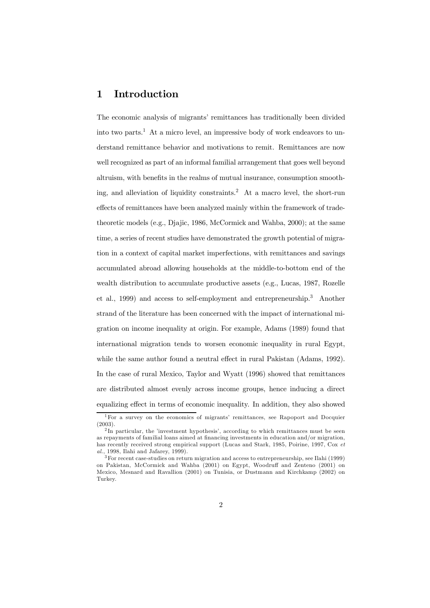#### 1 Introduction

The economic analysis of migrants' remittances has traditionally been divided into two parts.<sup>1</sup> At a micro level, an impressive body of work endeavors to understand remittance behavior and motivations to remit. Remittances are now well recognized as part of an informal familial arrangement that goes well beyond altruism, with benefits in the realms of mutual insurance, consumption smoothing, and alleviation of liquidity constraints.<sup>2</sup> At a macro level, the short-run effects of remittances have been analyzed mainly within the framework of tradetheoretic models (e.g., Djajic, 1986, McCormick and Wahba, 2000); at the same time, a series of recent studies have demonstrated the growth potential of migration in a context of capital market imperfections, with remittances and savings accumulated abroad allowing households at the middle-to-bottom end of the wealth distribution to accumulate productive assets (e.g., Lucas, 1987, Rozelle et al., 1999) and access to self-employment and entrepreneurship.3 Another strand of the literature has been concerned with the impact of international migration on income inequality at origin. For example, Adams (1989) found that international migration tends to worsen economic inequality in rural Egypt, while the same author found a neutral effect in rural Pakistan (Adams, 1992). In the case of rural Mexico, Taylor and Wyatt (1996) showed that remittances are distributed almost evenly across income groups, hence inducing a direct equalizing effect in terms of economic inequality. In addition, they also showed

 $1$  For a survey on the economics of migrants' remittances, see Rapoport and Docquier (2003).

<sup>&</sup>lt;sup>2</sup>In particular, the 'investment hypothesis', according to which remittances must be seen as repayments of familial loans aimed at financing investments in education and/or migration, has recently received strong empirical support (Lucas and Stark, 1985, Poirine, 1997, Cox et al., 1998, Ilahi and Jafarey, 1999).

<sup>3</sup>For recent case-studies on return migration and access to entrepreneurship, see Ilahi (1999) on Pakistan, McCormick and Wahba (2001) on Egypt, Woodruff and Zenteno (2001) on Mexico, Mesnard and Ravallion (2001) on Tunisia, or Dustmann and Kirchkamp (2002) on Turkey.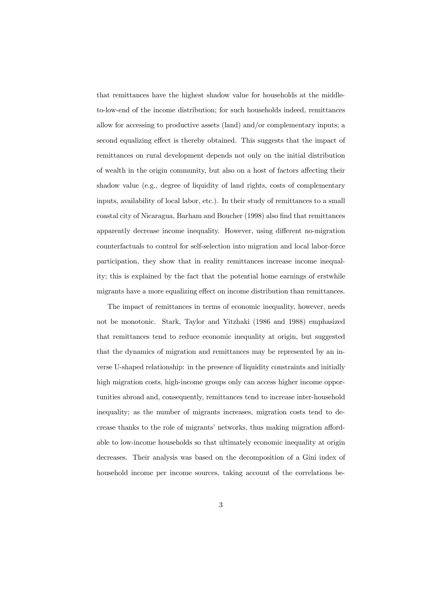that remittances have the highest shadow value for households at the middleto-low-end of the income distribution; for such households indeed, remittances allow for accessing to productive assets (land) and/or complementary inputs; a second equalizing effect is thereby obtained. This suggests that the impact of remittances on rural development depends not only on the initial distribution of wealth in the origin community, but also on a host of factors a¤ecting their shadow value (e.g., degree of liquidity of land rights, costs of complementary inputs, availability of local labor, etc.). In their study of remittances to a small coastal city of Nicaragua, Barham and Boucher (1998) also find that remittances apparently decrease income inequality. However, using different no-migration counterfactuals to control for self-selection into migration and local labor-force participation, they show that in reality remittances increase income inequality; this is explained by the fact that the potential home earnings of erstwhile migrants have a more equalizing effect on income distribution than remittances.

The impact of remittances in terms of economic inequality, however, needs not be monotonic. Stark, Taylor and Yitzhaki (1986 and 1988) emphasized that remittances tend to reduce economic inequality at origin, but suggested that the dynamics of migration and remittances may be represented by an inverse U-shaped relationship: in the presence of liquidity constraints and initially high migration costs, high-income groups only can access higher income opportunities abroad and, consequently, remittances tend to increase inter-household inequality; as the number of migrants increases, migration costs tend to decrease thanks to the role of migrants' networks, thus making migration affordable to low-income households so that ultimately economic inequality at origin decreases. Their analysis was based on the decomposition of a Gini index of household income per income sources, taking account of the correlations be-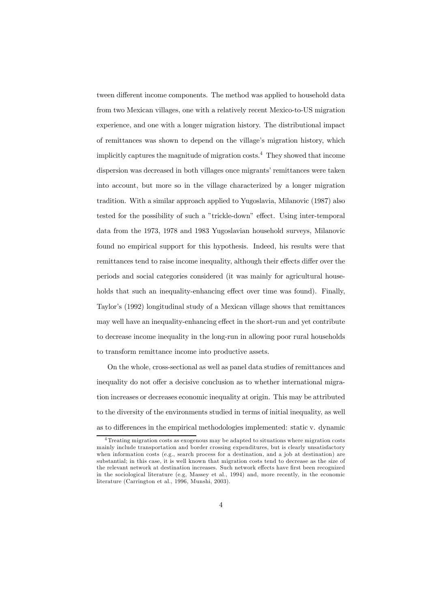tween different income components. The method was applied to household data from two Mexican villages, one with a relatively recent Mexico-to-US migration experience, and one with a longer migration history. The distributional impact of remittances was shown to depend on the village's migration history, which implicitly captures the magnitude of migration costs.4 They showed that income dispersion was decreased in both villages once migrants' remittances were taken into account, but more so in the village characterized by a longer migration tradition. With a similar approach applied to Yugoslavia, Milanovic (1987) also tested for the possibility of such a "trickle-down" effect. Using inter-temporal data from the 1973, 1978 and 1983 Yugoslavian household surveys, Milanovic found no empirical support for this hypothesis. Indeed, his results were that remittances tend to raise income inequality, although their effects differ over the periods and social categories considered (it was mainly for agricultural households that such an inequality-enhancing effect over time was found). Finally, Taylor's (1992) longitudinal study of a Mexican village shows that remittances may well have an inequality-enhancing effect in the short-run and yet contribute to decrease income inequality in the long-run in allowing poor rural households to transform remittance income into productive assets.

On the whole, cross-sectional as well as panel data studies of remittances and inequality do not offer a decisive conclusion as to whether international migration increases or decreases economic inequality at origin. This may be attributed to the diversity of the environments studied in terms of initial inequality, as well as to differences in the empirical methodologies implemented: static v. dynamic

<sup>4</sup> Treating migration costs as exogenous may be adapted to situations where migration costs mainly include transportation and border crossing expenditures, but is clearly unsatisfactory when information costs (e.g., search process for a destination, and a job at destination) are substantial; in this case, it is well known that migration costs tend to decrease as the size of the relevant network at destination increases. Such network effects have first been recognized in the sociological literature (e.g, Massey et al., 1994) and, more recently, in the economic literature (Carrington et al., 1996, Munshi, 2003).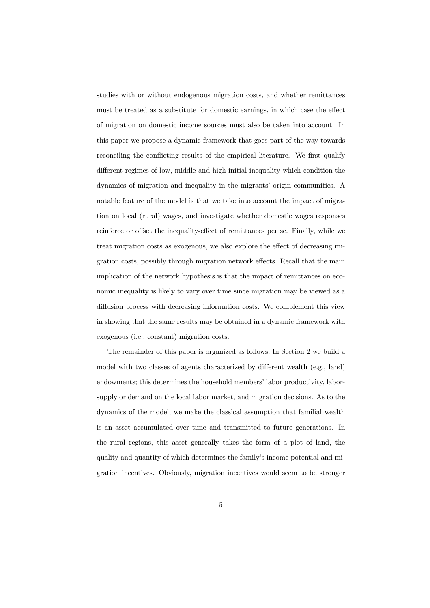studies with or without endogenous migration costs, and whether remittances must be treated as a substitute for domestic earnings, in which case the effect of migration on domestic income sources must also be taken into account. In this paper we propose a dynamic framework that goes part of the way towards reconciling the conflicting results of the empirical literature. We first qualify different regimes of low, middle and high initial inequality which condition the dynamics of migration and inequality in the migrants' origin communities. A notable feature of the model is that we take into account the impact of migration on local (rural) wages, and investigate whether domestic wages responses reinforce or offset the inequality-effect of remittances per se. Finally, while we treat migration costs as exogenous, we also explore the effect of decreasing migration costs, possibly through migration network effects. Recall that the main implication of the network hypothesis is that the impact of remittances on economic inequality is likely to vary over time since migration may be viewed as a diffusion process with decreasing information costs. We complement this view in showing that the same results may be obtained in a dynamic framework with exogenous (i.e., constant) migration costs.

The remainder of this paper is organized as follows. In Section 2 we build a model with two classes of agents characterized by different wealth (e.g., land) endowments; this determines the household members' labor productivity, laborsupply or demand on the local labor market, and migration decisions. As to the dynamics of the model, we make the classical assumption that familial wealth is an asset accumulated over time and transmitted to future generations. In the rural regions, this asset generally takes the form of a plot of land, the quality and quantity of which determines the family's income potential and migration incentives. Obviously, migration incentives would seem to be stronger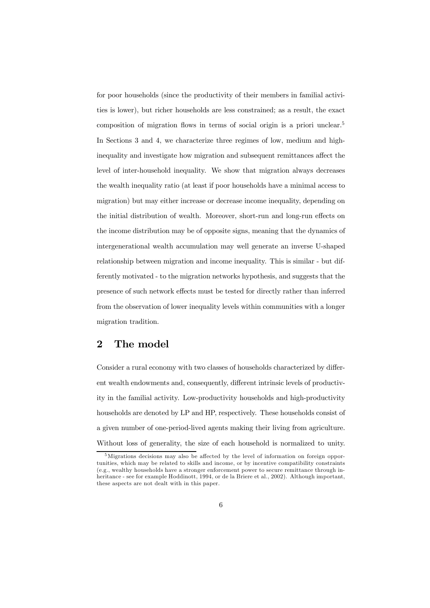for poor households (since the productivity of their members in familial activities is lower), but richer households are less constrained; as a result, the exact composition of migration flows in terms of social origin is a priori unclear.<sup>5</sup> In Sections 3 and 4, we characterize three regimes of low, medium and highinequality and investigate how migration and subsequent remittances affect the level of inter-household inequality. We show that migration always decreases the wealth inequality ratio (at least if poor households have a minimal access to migration) but may either increase or decrease income inequality, depending on the initial distribution of wealth. Moreover, short-run and long-run effects on the income distribution may be of opposite signs, meaning that the dynamics of intergenerational wealth accumulation may well generate an inverse U-shaped relationship between migration and income inequality. This is similar - but differently motivated - to the migration networks hypothesis, and suggests that the presence of such network effects must be tested for directly rather than inferred from the observation of lower inequality levels within communities with a longer migration tradition.

#### 2 The model

Consider a rural economy with two classes of households characterized by different wealth endowments and, consequently, different intrinsic levels of productivity in the familial activity. Low-productivity households and high-productivity households are denoted by LP and HP, respectively. These households consist of a given number of one-period-lived agents making their living from agriculture. Without loss of generality, the size of each household is normalized to unity.

<sup>&</sup>lt;sup>5</sup>Migrations decisions may also be affected by the level of information on foreign opportunities, which may be related to skills and income, or by incentive compatibility constraints (e.g., wealthy households have a stronger enforcement power to secure remittance through inheritance - see for example Hoddinott, 1994, or de la Briere et al., 2002). Although important, these aspects are not dealt with in this paper.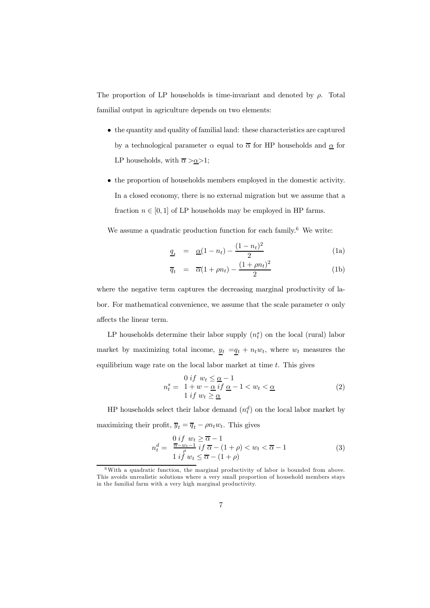The proportion of LP households is time-invariant and denoted by  $\rho$ . Total familial output in agriculture depends on two elements:

- the quantity and quality of familial land: these characteristics are captured by a technological parameter  $\alpha$  equal to  $\overline{\alpha}$  for HP households and  $\underline{\alpha}$  for LP households, with  $\overline{\alpha} > \underline{\alpha} > 1$ ;
- the proportion of households members employed in the domestic activity. In a closed economy, there is no external migration but we assume that a fraction  $n \in [0, 1]$  of LP households may be employed in HP farms.

We assume a quadratic production function for each family.<sup>6</sup> We write:

$$
\underline{q}_t = \underline{\alpha}(1 - n_t) - \frac{(1 - n_t)^2}{2} \tag{1a}
$$

$$
\overline{q}_t = \overline{\alpha}(1 + \rho n_t) - \frac{(1 + \rho n_t)^2}{2} \tag{1b}
$$

where the negative term captures the decreasing marginal productivity of labor. For mathematical convenience, we assume that the scale parameter  $\alpha$  only affects the linear term.

LP households determine their labor supply  $(n_t^s)$  on the local (rural) labor market by maximizing total income,  $\underline{y}_t = \underline{q}_t + n_t w_t$ , where  $w_t$  measures the equilibrium wage rate on the local labor market at time  $t$ . This gives

$$
n_t^s = \frac{0 \text{ if } w_t \le \underline{\alpha} - 1}{1 + w - \underline{\alpha} \text{ if } \underline{\alpha} - 1 < w_t < \underline{\alpha}} \tag{2}
$$
\n
$$
1 \text{ if } w_t \ge \underline{\alpha}
$$

HP households select their labor demand  $(n_t^d)$  on the local labor market by maximizing their profit,  $\overline{y}_t = \overline{q}_t - \rho n_t w_t$ . This gives

$$
n_t^d = \frac{0 \text{ if } w_t \ge \overline{\alpha} - 1}{\frac{\overline{\alpha} - w_t - 1}{\rho} \text{ if } \overline{\alpha} - (1 + \rho) < w_t < \overline{\alpha} - 1 \tag{3}
$$
\n
$$
1 \text{ if } w_t \le \overline{\alpha} - (1 + \rho)
$$

<sup>6</sup>With a quadratic function, the marginal productivity of labor is bounded from above. This avoids unrealistic solutions where a very small proportion of household members stays in the familial farm with a very high marginal productivity.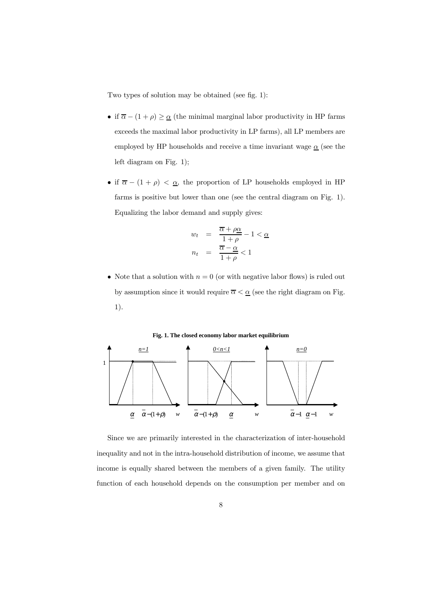Two types of solution may be obtained (see fig. 1):

- if  $\overline{\alpha} (1 + \rho) \geq \underline{\alpha}$  (the minimal marginal labor productivity in HP farms exceeds the maximal labor productivity in LP farms), all LP members are employed by HP households and receive a time invariant wage  $\alpha$  (see the left diagram on Fig. 1);
- if  $\overline{\alpha} (1 + \rho) < \underline{\alpha}$ , the proportion of LP households employed in HP farms is positive but lower than one (see the central diagram on Fig. 1). Equalizing the labor demand and supply gives:

$$
w_t = \frac{\overline{\alpha} + \rho \underline{\alpha}}{1 + \rho} - 1 < \underline{\alpha}
$$
\n
$$
n_t = \frac{\overline{\alpha} - \underline{\alpha}}{1 + \rho} < 1
$$

• Note that a solution with  $n = 0$  (or with negative labor flows) is ruled out by assumption since it would require  $\overline{\alpha}<\underline{\alpha}$  (see the right diagram on Fig. 1).



**Fig. 1. The closed economy labor market equilibrium**

Since we are primarily interested in the characterization of inter-household inequality and not in the intra-household distribution of income, we assume that income is equally shared between the members of a given family. The utility function of each household depends on the consumption per member and on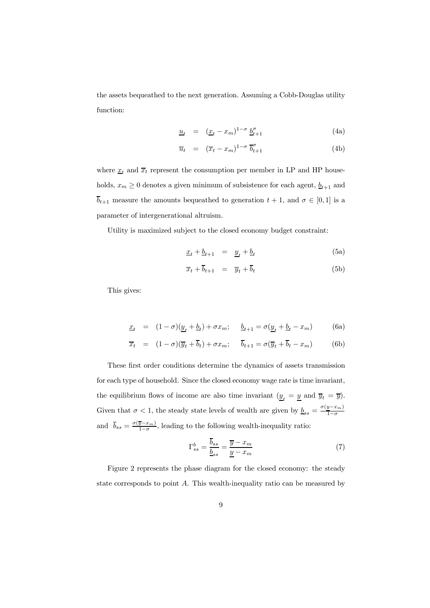the assets bequeathed to the next generation. Assuming a Cobb-Douglas utility function:

$$
\underline{u}_t = (\underline{x}_t - x_m)^{1-\sigma} \, \underline{b}_{t+1}^{\sigma} \tag{4a}
$$

$$
\overline{u}_t = (\overline{x}_t - x_m)^{1-\sigma} \overline{b}_{t+1}^{\sigma}
$$
 (4b)

where  $\underline{x}_t$  and  $\overline{x}_t$  represent the consumption per member in LP and HP households,  $x_m \geq 0$  denotes a given minimum of subsistence for each agent,  $\underline{b}_{t+1}$  and  $\overline{b}_{t+1}$  measure the amounts bequeathed to generation  $t + 1$ , and  $\sigma \in [0, 1]$  is a parameter of intergenerational altruism.

Utility is maximized subject to the closed economy budget constraint:

$$
\underline{x}_t + \underline{b}_{t+1} = \underline{y}_t + \underline{b}_t \tag{5a}
$$

$$
\overline{x}_t + \overline{b}_{t+1} = \overline{y}_t + \overline{b}_t \tag{5b}
$$

This gives:

$$
\underline{x}_t = (1 - \sigma)(\underline{y}_t + \underline{b}_t) + \sigma x_m; \quad \underline{b}_{t+1} = \sigma(\underline{y}_t + \underline{b}_t - x_m)
$$
(6a)

$$
\overline{x}_t = (1 - \sigma)(\overline{y}_t + \overline{b}_t) + \sigma x_m; \quad \overline{b}_{t+1} = \sigma(\overline{y}_t + \overline{b}_t - x_m)
$$
(6b)

These first order conditions determine the dynamics of assets transmission for each type of household. Since the closed economy wage rate is time invariant, the equilibrium flows of income are also time invariant  $(\underline{y}_t = \underline{y} \text{ and } \overline{y}_t = \overline{y})$ . Given that  $\sigma < 1$ , the steady state levels of wealth are given by  $\underline{b}_{ss} = \frac{\sigma(y - x_m)}{1 - \sigma}$ and  $\overline{b}_{ss} = \frac{\sigma(\overline{y} - x_m)}{1 - \sigma}$ , leading to the following wealth-inequality ratio:

$$
\Gamma_{ss}^b = \frac{\overline{b}_{ss}}{\underline{b}_{ss}} = \frac{\overline{y} - x_m}{\underline{y} - x_m} \tag{7}
$$

Figure 2 represents the phase diagram for the closed economy: the steady state corresponds to point A. This wealth-inequality ratio can be measured by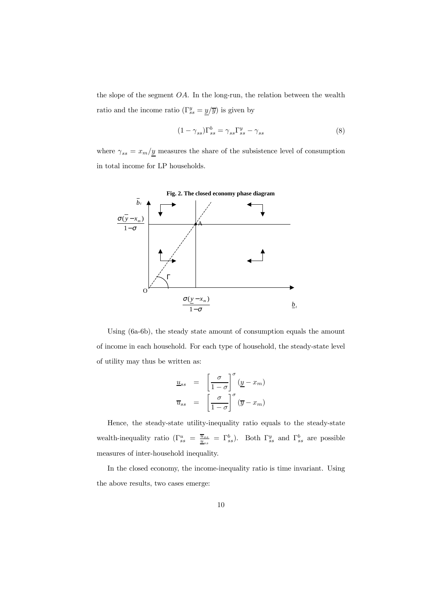the slope of the segment  $OA$ . In the long-run, the relation between the wealth ratio and the income ratio  $(\Gamma_{ss}^y = \underline{y}/\overline{y})$  is given by

$$
(1 - \gamma_{ss})\Gamma_{ss}^b = \gamma_{ss}\Gamma_{ss}^y - \gamma_{ss} \tag{8}
$$

where  $\gamma_{ss} = x_m/\underline{y}$  measures the share of the subsistence level of consumption in total income for LP households.



Using (6a-6b), the steady state amount of consumption equals the amount of income in each household. For each type of household, the steady-state level of utility may thus be written as:

$$
\underline{u}_{ss} = \left[\frac{\sigma}{1-\sigma}\right]^{\sigma} (\underline{y} - x_m)
$$

$$
\overline{u}_{ss} = \left[\frac{\sigma}{1-\sigma}\right]^{\sigma} (\overline{y} - x_m)
$$

Hence, the steady-state utility-inequality ratio equals to the steady-state wealth-inequality ratio  $(\Gamma^u_{ss} = \frac{\overline{u}_{ss}}{u_{ss}} = \Gamma^b_{ss})$ . Both  $\Gamma^y_{ss}$  and  $\Gamma^b_{ss}$  are possible measures of inter-household inequality.

In the closed economy, the income-inequality ratio is time invariant. Using the above results, two cases emerge: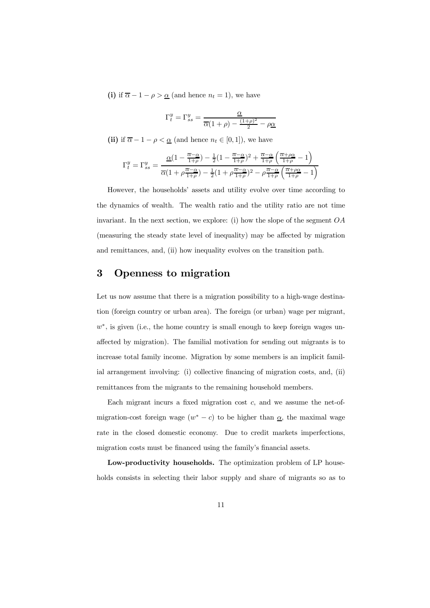(i) if  $\overline{\alpha} - 1 - \rho > \underline{\alpha}$  (and hence  $n_t = 1$ ), we have

$$
\Gamma_t^y = \Gamma_{ss}^y = \frac{\underline{\alpha}}{\overline{\alpha}(1+\rho) - \frac{(1+\rho)^2}{2} - \rho \underline{\alpha}}
$$

(ii) if  $\overline{\alpha} - 1 - \rho < \underline{\alpha}$  (and hence  $n_t \in [0, 1]$ ), we have

$$
\Gamma^y_t = \Gamma^y_{ss} = \frac{\underline{\alpha}(1-\frac{\overline{\alpha}-\underline{\alpha}}{1+\rho})-\frac{1}{2}(1-\frac{\overline{\alpha}-\underline{\alpha}}{1+\rho})^2+\frac{\overline{\alpha}-\underline{\alpha}}{1+\rho}\left(\frac{\overline{\alpha}+\rho\underline{\alpha}}{1+\rho}-1\right)}{\overline{\alpha}(1+\rho\frac{\overline{\alpha}-\underline{\alpha}}{1+\rho})-\frac{1}{2}(1+\rho\frac{\overline{\alpha}-\underline{\alpha}}{1+\rho})^2-\rho\frac{\overline{\alpha}-\underline{\alpha}}{1+\rho}\left(\frac{\overline{\alpha}+\rho\underline{\alpha}}{1+\rho}-1\right)}
$$

However, the households' assets and utility evolve over time according to the dynamics of wealth. The wealth ratio and the utility ratio are not time invariant. In the next section, we explore: (i) how the slope of the segment  $OA$ (measuring the steady state level of inequality) may be affected by migration and remittances, and, (ii) how inequality evolves on the transition path.

#### 3 Openness to migration

Let us now assume that there is a migration possibility to a high-wage destination (foreign country or urban area). The foreign (or urban) wage per migrant,  $w^*$ , is given (i.e., the home country is small enough to keep foreign wages unaffected by migration). The familial motivation for sending out migrants is to increase total family income. Migration by some members is an implicit familial arrangement involving: (i) collective financing of migration costs, and, (ii) remittances from the migrants to the remaining household members.

Each migrant incurs a fixed migration cost  $c$ , and we assume the net-ofmigration-cost foreign wage  $(w^* - c)$  to be higher than  $\underline{\alpha}$ , the maximal wage rate in the closed domestic economy. Due to credit markets imperfections, migration costs must be financed using the family's financial assets.

Low-productivity households. The optimization problem of LP households consists in selecting their labor supply and share of migrants so as to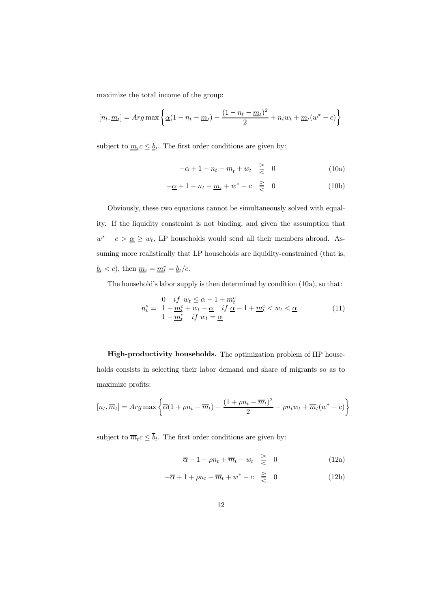maximize the total income of the group:

$$
[n_t, \underline{m}_t] = Arg \max \left\{ \underline{\alpha} (1 - n_t - \underline{m}_t) - \frac{(1 - n_t - \underline{m}_t)^2}{2} + n_t w_t + \underline{m}_t (w^* - c) \right\}
$$

subject to  $m_t c \leq \underline{b}_t$ . The first order conditions are given by:

$$
-\underline{\alpha} + 1 - n_t - \underline{m}_t + w_t \quad \geq \quad 0 \tag{10a}
$$

$$
-\underline{\alpha} + 1 - n_t - \underline{m}_t + w^* - c \quad \geq \quad 0 \tag{10b}
$$

Obviously, these two equations cannot be simultaneously solved with equality. If the liquidity constraint is not binding, and given the assumption that  $w^* - c > \underline{\alpha} \geq w_t$ , LP households would send all their members abroad. Assuming more realistically that LP households are liquidity-constrained (that is,  $\underline{b}_t < c$ , then  $\underline{m}_t = \underline{m}_t^c = \underline{b}_t/c$ .

The household's labor supply is then determined by condition (10a), so that:

$$
n_t^s = \n\begin{cases}\n0 & \text{if } w_t \leq \underline{\alpha} - 1 + \underline{m}_t^c \\
1 - \underline{m}_t^c + w_t - \underline{\alpha} & \text{if } \underline{\alpha} - 1 + \underline{m}_t^c < w_t < \underline{\alpha} \\
1 - \underline{m}_t^c & \text{if } w_t = \underline{\alpha}\n\end{cases}\n\tag{11}
$$

High-productivity households. The optimization problem of HP households consists in selecting their labor demand and share of migrants so as to maximize profits:

$$
[n_t, \overline{m}_t] = Arg \max \left\{ \overline{\alpha} (1 + \rho n_t - \overline{m}_t) - \frac{(1 + \rho n_t - \overline{m}_t)^2}{2} - \rho n_t w_t + \overline{m}_t (w^* - c) \right\}
$$

subject to  $\overline{m}_t c \leq \overline{b}_t$ . The first order conditions are given by:

$$
\overline{\alpha} - 1 - \rho n_t + \overline{m}_t - w_t \quad \geq \quad 0 \tag{12a}
$$

$$
-\overline{\alpha} + 1 + \rho n_t - \overline{m}_t + w^* - c \geq 0 \tag{12b}
$$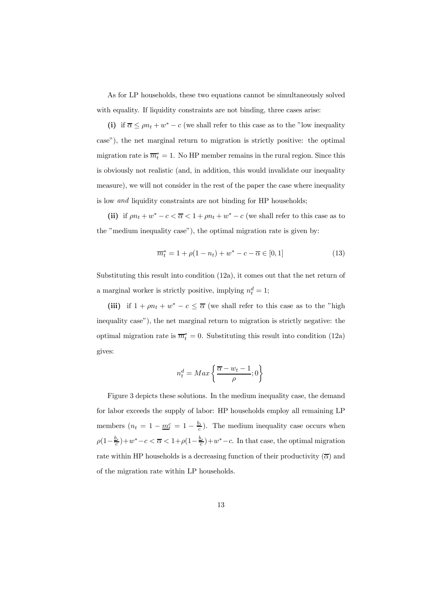As for LP households, these two equations cannot be simultaneously solved with equality. If liquidity constraints are not binding, three cases arise:

(i) if  $\overline{\alpha} \leq \rho n_t + w^* - c$  (we shall refer to this case as to the "low inequality case"), the net marginal return to migration is strictly positive: the optimal migration rate is  $\overline{m}_t^* = 1$ . No HP member remains in the rural region. Since this is obviously not realistic (and, in addition, this would invalidate our inequality measure), we will not consider in the rest of the paper the case where inequality is low and liquidity constraints are not binding for HP households;

(ii) if  $\rho n_t + w^* - c < \overline{\alpha} < 1 + \rho n_t + w^* - c$  (we shall refer to this case as to the "medium inequality case"), the optimal migration rate is given by:

$$
\overline{m}_t^* = 1 + \rho(1 - n_t) + w^* - c - \overline{\alpha} \in [0, 1]
$$
\n(13)

Substituting this result into condition (12a), it comes out that the net return of a marginal worker is strictly positive, implying  $n_t^d = 1$ ;

(iii) if  $1 + \rho n_t + w^* - c \leq \overline{\alpha}$  (we shall refer to this case as to the "high inequality case"), the net marginal return to migration is strictly negative: the optimal migration rate is  $\overline{m}_t^* = 0$ . Substituting this result into condition (12a) gives:

$$
n_t^d = Max\left\{\frac{\overline{\alpha} - w_t - 1}{\rho}; 0\right\}
$$

Figure 3 depicts these solutions. In the medium inequality case, the demand for labor exceeds the supply of labor: HP households employ all remaining LP members  $(n_t = 1 - \underline{m}_t^c = 1 - \frac{b_t}{c})$ . The medium inequality case occurs when  $\rho(1-\frac{b_t}{c})+w^*-c<\overline{\alpha}<1+\rho(1-\frac{b_t}{c})+w^*-c.$  In that case, the optimal migration rate within HP households is a decreasing function of their productivity  $(\overline{\alpha})$  and of the migration rate within LP households.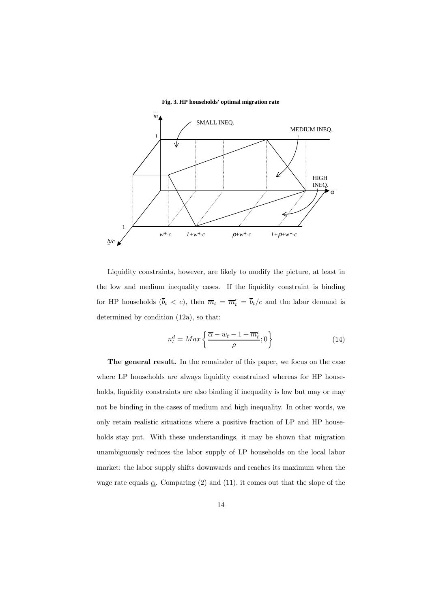**Fig. 3. HP households' optimal migration rate**



Liquidity constraints, however, are likely to modify the picture, at least in the low and medium inequality cases. If the liquidity constraint is binding for HP households  $(\bar{b}_t < c)$ , then  $\bar{m}_t = \bar{m}_t^c = \bar{b}_t/c$  and the labor demand is determined by condition (12a), so that:

$$
n_t^d = Max\left\{\frac{\overline{\alpha} - w_t - 1 + \overline{m}_t^c}{\rho}; 0\right\} \tag{14}
$$

The general result. In the remainder of this paper, we focus on the case where LP households are always liquidity constrained whereas for HP households, liquidity constraints are also binding if inequality is low but may or may not be binding in the cases of medium and high inequality. In other words, we only retain realistic situations where a positive fraction of LP and HP households stay put. With these understandings, it may be shown that migration unambiguously reduces the labor supply of LP households on the local labor market: the labor supply shifts downwards and reaches its maximum when the wage rate equals  $\underline{\alpha}$ . Comparing (2) and (11), it comes out that the slope of the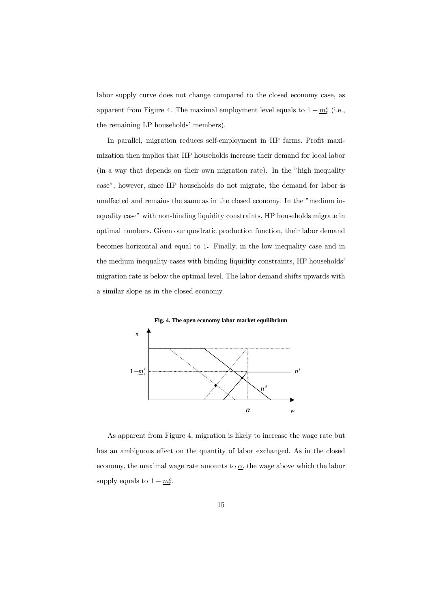labor supply curve does not change compared to the closed economy case, as apparent from Figure 4. The maximal employment level equals to  $1 - \underline{m}_t^c$  (i.e., the remaining LP households' members).

In parallel, migration reduces self-employment in HP farms. Profit maximization then implies that HP households increase their demand for local labor (in a way that depends on their own migration rate). In the "high inequality case", however, since HP households do not migrate, the demand for labor is unaffected and remains the same as in the closed economy. In the "medium inequality case" with non-binding liquidity constraints, HP households migrate in optimal numbers. Given our quadratic production function, their labor demand becomes horizontal and equal to 1. Finally, in the low inequality case and in the medium inequality cases with binding liquidity constraints, HP households' migration rate is below the optimal level. The labor demand shifts upwards with a similar slope as in the closed economy.



As apparent from Figure 4, migration is likely to increase the wage rate but has an ambiguous effect on the quantity of labor exchanged. As in the closed economy, the maximal wage rate amounts to  $\underline{\alpha}$ , the wage above which the labor supply equals to  $1 - m_t^c$ .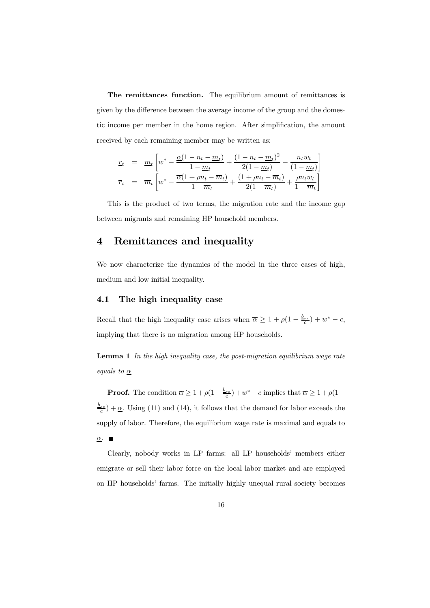The remittances function. The equilibrium amount of remittances is given by the difference between the average income of the group and the domestic income per member in the home region. After simplification, the amount received by each remaining member may be written as:

$$
\begin{array}{rcl}\n\mathbf{r}_{t} & = & \underline{m}_{t} \left[ w^{*} - \frac{\underline{\alpha}(1 - n_{t} - \underline{m}_{t})}{1 - \underline{m}_{t}} + \frac{(1 - n_{t} - \underline{m}_{t})^{2}}{2(1 - \underline{m}_{t})} - \frac{n_{t}w_{t}}{(1 - \underline{m}_{t})} \right] \\
\overline{r}_{t} & = & \overline{m}_{t} \left[ w^{*} - \frac{\overline{\alpha}(1 + \rho n_{t} - \overline{m}_{t})}{1 - \overline{m}_{t}} + \frac{(1 + \rho n_{t} - \overline{m}_{t})}{2(1 - \overline{m}_{t})} + \frac{\rho n_{t}w_{t}}{1 - \overline{m}_{t}} \right]\n\end{array}
$$

This is the product of two terms, the migration rate and the income gap between migrants and remaining HP household members.

#### 4 Remittances and inequality

We now characterize the dynamics of the model in the three cases of high, medium and low initial inequality.

#### 4.1 The high inequality case

Recall that the high inequality case arises when  $\overline{\alpha} \geq 1 + \rho(1 - \frac{b_{ss}}{c}) + w^* - c$ , implying that there is no migration among HP households.

**Lemma 1** In the high inequality case, the post-migration equilibrium wage rate equals to  $\underline{\alpha}$ 

**Proof.** The condition  $\overline{\alpha} \geq 1 + \rho(1 - \frac{b_{ss}}{c}) + w^* - c$  implies that  $\overline{\alpha} \geq 1 + \rho(1 - \frac{b_{ss}}{c}) + w^* - c$  $\frac{b_{ss}}{c}$   $+\underline{\alpha}$ . Using (11) and (14), it follows that the demand for labor exceeds the supply of labor. Therefore, the equilibrium wage rate is maximal and equals to  $\alpha$ .

Clearly, nobody works in LP farms: all LP households' members either emigrate or sell their labor force on the local labor market and are employed on HP households' farms. The initially highly unequal rural society becomes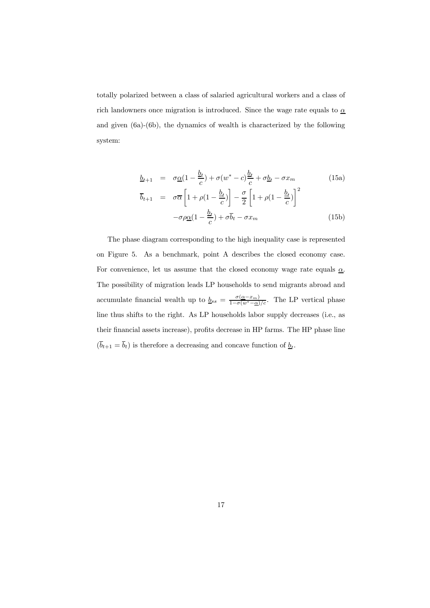totally polarized between a class of salaried agricultural workers and a class of rich landowners once migration is introduced. Since the wage rate equals to  $\underline{\alpha}$ and given (6a)-(6b), the dynamics of wealth is characterized by the following system:

$$
\underline{b}_{t+1} = \sigma \underline{\alpha} (1 - \frac{\underline{b}_t}{c}) + \sigma (w^* - c) \frac{\underline{b}_t}{c} + \sigma \underline{b}_t - \sigma x_m \qquad (15a)
$$
\n
$$
\overline{b}_{t+1} = \sigma \overline{\alpha} \left[ 1 + \rho (1 - \frac{\underline{b}_t}{c}) \right] - \frac{\sigma}{2} \left[ 1 + \rho (1 - \frac{\underline{b}_t}{c}) \right]^2
$$
\n
$$
-\sigma \rho \underline{\alpha} (1 - \frac{\underline{b}_t}{c}) + \sigma \overline{b}_t - \sigma x_m \qquad (15b)
$$

The phase diagram corresponding to the high inequality case is represented on Figure 5. As a benchmark, point A describes the closed economy case. For convenience, let us assume that the closed economy wage rate equals  $\alpha$ . The possibility of migration leads LP households to send migrants abroad and accumulate financial wealth up to  $\underline{b}_{ss} = \frac{\sigma(\underline{\alpha} - x_m)}{1 - \sigma(w^* - \underline{\alpha})/c}$ . The LP vertical phase line thus shifts to the right. As LP households labor supply decreases (i.e., as their financial assets increase), profits decrease in HP farms. The HP phase line  $(\overline{b}_{t+1} = \overline{b}_{t})$  is therefore a decreasing and concave function of  $\underline{b}_{t}.$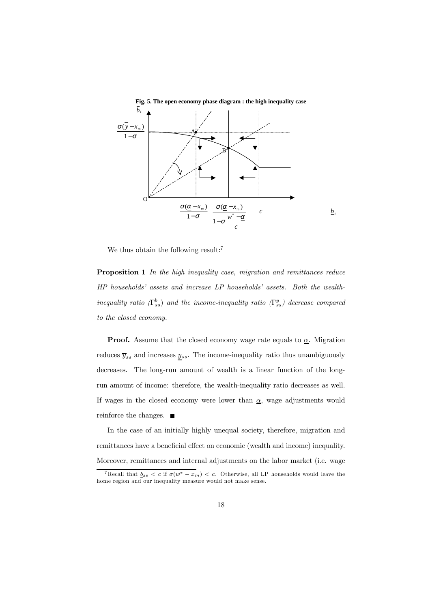

We thus obtain the following result:<sup>7</sup>

Proposition 1 In the high inequality case, migration and remittances reduce HP households' assets and increase LP households' assets. Both the wealthinequality ratio  $(\Gamma^b_{ss})$  and the income-inequality ratio  $(\Gamma^y_{ss})$  decrease compared to the closed economy.

**Proof.** Assume that the closed economy wage rate equals to  $\underline{\alpha}$ . Migration reduces  $\overline{y}_{ss}$  and increases  $y_{ss}$ . The income-inequality ratio thus unambiguously decreases. The long-run amount of wealth is a linear function of the longrun amount of income: therefore, the wealth-inequality ratio decreases as well. If wages in the closed economy were lower than  $\underline{\alpha}$ , wage adjustments would reinforce the changes.

In the case of an initially highly unequal society, therefore, migration and remittances have a beneficial effect on economic (wealth and income) inequality. Moreover, remittances and internal adjustments on the labor market (i.e. wage

<sup>&</sup>lt;sup>7</sup> Recall that  $\underline{b}_{ss} < c$  if  $\sigma(w^* - x_m) < c$ . Otherwise, all LP households would leave the home region and our inequality measure would not make sense.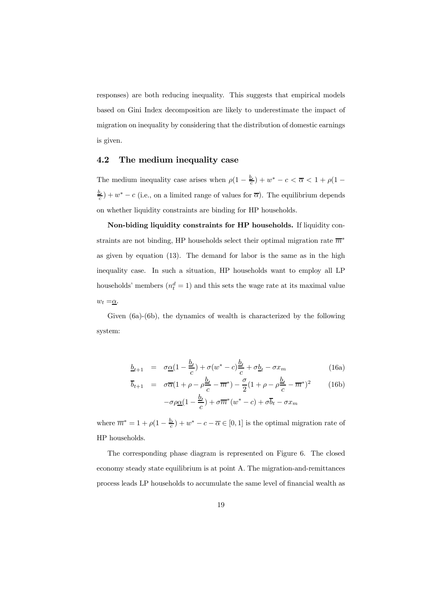responses) are both reducing inequality. This suggests that empirical models based on Gini Index decomposition are likely to underestimate the impact of migration on inequality by considering that the distribution of domestic earnings is given.

#### 4.2 The medium inequality case

The medium inequality case arises when  $\rho(1 - \frac{b_t}{c}) + w^* - c < \overline{\alpha} < 1 + \rho(1 - \frac{b_t}{c})$  $\frac{b_t}{c}$ ) + w<sup>\*</sup> – c (i.e., on a limited range of values for  $\overline{\alpha}$ ). The equilibrium depends on whether liquidity constraints are binding for HP households.

Non-biding liquidity constraints for HP households. If liquidity constraints are not binding, HP households select their optimal migration rate  $\overline{m}^*$ as given by equation (13). The demand for labor is the same as in the high inequality case. In such a situation, HP households want to employ all LP households' members  $(n_t^d = 1)$  and this sets the wage rate at its maximal value  $w_t = \underline{\alpha}$ .

Given (6a)-(6b), the dynamics of wealth is characterized by the following system:

$$
\underline{b}_{t+1} = \sigma \underline{\alpha} (1 - \frac{\underline{b}_t}{c}) + \sigma (w^* - c) \frac{\underline{b}_t}{c} + \sigma \underline{b}_t - \sigma x_m \tag{16a}
$$

$$
\overline{b}_{t+1} = \sigma \overline{\alpha} (1 + \rho - \rho \frac{\underline{b}_t}{c} - \overline{m}^*) - \frac{\sigma}{2} (1 + \rho - \rho \frac{\underline{b}_t}{c} - \overline{m}^*)^2 \qquad (16b)
$$

$$
-\sigma \rho \underline{\alpha} (1 - \frac{\underline{b}_t}{c}) + \sigma \overline{m}^* (w^* - c) + \sigma \overline{b}_t - \sigma x_m
$$

where  $\overline{m}^* = 1 + \rho(1 - \frac{b_t}{c}) + w^* - c - \overline{\alpha} \in [0, 1]$  is the optimal migration rate of HP households.

The corresponding phase diagram is represented on Figure 6. The closed economy steady state equilibrium is at point A. The migration-and-remittances process leads LP households to accumulate the same level of financial wealth as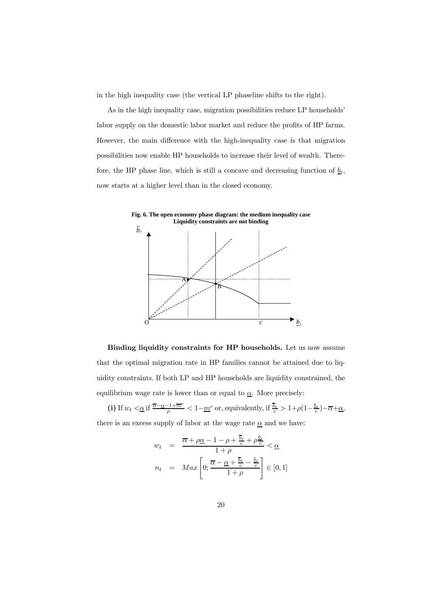in the high inequality case (the vertical LP phaseline shifts to the right).

As in the high inequality case, migration possibilities reduce LP households' labor supply on the domestic labor market and reduce the profits of HP farms. However, the main difference with the high-inequality case is that migration possibilities now enable HP households to increase their level of wealth. Therefore, the HP phase line, which is still a concave and decreasing function of  $\underline{b}_t$ , now starts at a higher level than in the closed economy.



Binding liquidity constraints for HP households. Let us now assume that the optimal migration rate in HP families cannot be attained due to liquidity constraints. If both LP and HP households are liquidity constrained, the equilibrium wage rate is lower than or equal to  $\underline{\alpha}$ . More precisely:

(i) If  $w_t < \underline{\alpha}$  if  $\frac{\overline{\alpha} - \underline{\alpha} - 1 + \overline{m}^c}{\rho} < 1 - \underline{m}^c$  or, equivalently, if  $\frac{\overline{b}_t}{c} > 1 + \rho \left(1 - \frac{b_t}{c}\right) - \overline{\alpha} + \underline{\alpha}$ , there is an excess supply of labor at the wage rate  $\underline{\alpha}$  and we have:

$$
w_t = \frac{\overline{\alpha} + \rho \underline{\alpha} - 1 - \rho + \frac{\overline{b}_t}{c} + \rho \frac{\underline{b}_t}{c}}{1 + \rho} < \underline{\alpha}
$$

$$
n_t = Max \left[ 0; \frac{\overline{\alpha} - \underline{\alpha} + \frac{\overline{b}_t}{c} - \frac{\underline{b}_t}{c}}{1 + \rho} \right] \in [0, 1]
$$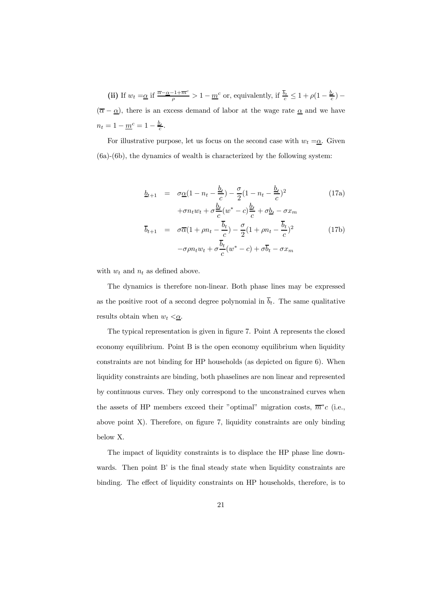(ii) If 
$$
w_t = \underline{\alpha}
$$
 if  $\frac{\overline{\alpha} - \underline{\alpha} - 1 + \overline{m}^c}{\rho} > 1 - \underline{m}^c$  or, equivalently, if  $\frac{\overline{b}_t}{c} \leq 1 + \rho(1 - \frac{b_t}{c}) -$ 

 $(\overline{\alpha} - \underline{\alpha})$ , there is an excess demand of labor at the wage rate  $\underline{\alpha}$  and we have  $n_t = 1 - \underline{m}^c = 1 - \frac{\underline{b}_t}{c}.$ 

For illustrative purpose, let us focus on the second case with  $w_t = \underline{\alpha}$ . Given (6a)-(6b), the dynamics of wealth is characterized by the following system:

$$
\underline{b}_{t+1} = \sigma \underline{\alpha} (1 - n_t - \frac{\underline{b}_t}{c}) - \frac{\sigma}{2} (1 - n_t - \frac{\underline{b}_t}{c})^2
$$
(17a)  
 
$$
+ \sigma n_t w_t + \sigma \frac{\underline{b}_t}{c} (w^* - c) \frac{\underline{b}_t}{c} + \sigma \underline{b}_t - \sigma x_m
$$
  

$$
\overline{b}_{t+1} = \sigma \overline{\alpha} (1 + \rho n_t - \frac{\overline{b}_t}{c}) - \frac{\sigma}{2} (1 + \rho n_t - \frac{\overline{b}_t}{c})^2
$$
(17b)  

$$
- \sigma \rho n_t w_t + \sigma \frac{\overline{b}_t}{c} (w^* - c) + \sigma \overline{b}_t - \sigma x_m
$$

with  $w_t$  and  $n_t$  as defined above.

The dynamics is therefore non-linear. Both phase lines may be expressed as the positive root of a second degree polynomial in  $\overline{b}_t$ . The same qualitative results obtain when  $w_t < \underline{\alpha}$ .

The typical representation is given in figure 7. Point A represents the closed economy equilibrium. Point B is the open economy equilibrium when liquidity constraints are not binding for  $HP$  households (as depicted on figure 6). When liquidity constraints are binding, both phaselines are non linear and represented by continuous curves. They only correspond to the unconstrained curves when the assets of HP members exceed their "optimal" migration costs,  $\overline{m}$ <sup>\*</sup>c (i.e., above point  $X$ ). Therefore, on figure 7, liquidity constraints are only binding below X.

The impact of liquidity constraints is to displace the HP phase line downwards. Then point  $B'$  is the final steady state when liquidity constraints are binding. The effect of liquidity constraints on HP households, therefore, is to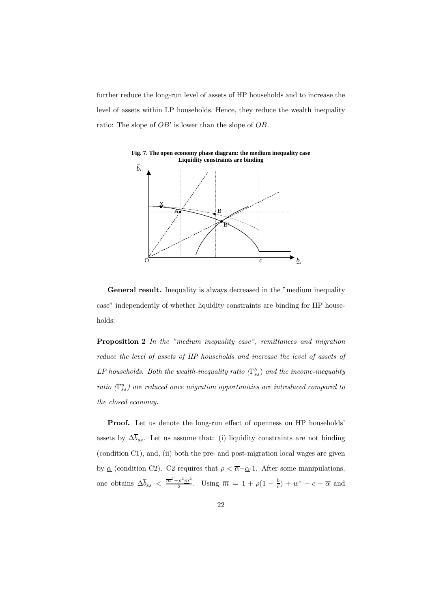further reduce the long-run level of assets of HP households and to increase the level of assets within LP households. Hence, they reduce the wealth inequality ratio: The slope of  $OB'$  is lower than the slope of  $OB$ .



**Fig. 7. The open economy phase diagram: the medium inequality case Liquidity constraints are binding**

General result. Inequality is always decreased in the "medium inequality" case" independently of whether liquidity constraints are binding for HP households:

Proposition 2 In the "medium inequality case", remittances and migration reduce the level of assets of HP households and increase the level of assets of LP households. Both the wealth-inequality ratio  $(\Gamma^b_{ss})$  and the income-inequality ratio  $(\Gamma_{ss}^y)$  are reduced once migration opportunities are introduced compared to the closed economy.

**Proof.** Let us denote the long-run effect of openness on HP households' assets by  $\Delta \overline{b}_{ss}$ . Let us assume that: (i) liquidity constraints are not binding (condition C1), and, (ii) both the pre- and post-migration local wages are given by  $\underline{\alpha}$  (condition C2). C2 requires that  $\rho < \overline{\alpha} - \underline{\alpha} - 1$ . After some manipulations, one obtains  $\Delta \overline{b}_{ss} < \frac{\overline{m}^2 - \rho^2 m^2}{2}$ . Using  $\overline{m} = 1 + \rho(1 - \frac{b}{c}) + w^* - c - \overline{\alpha}$  and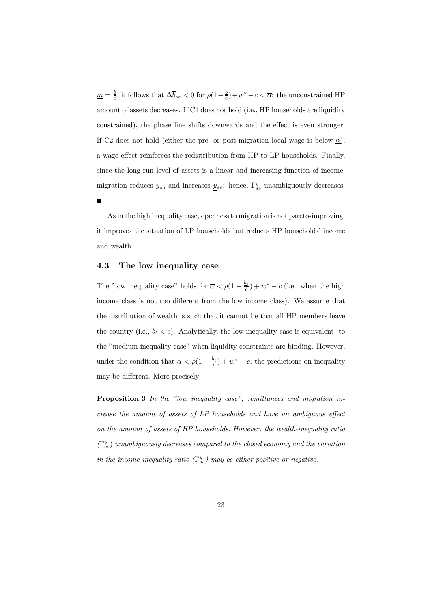$\underline{m} = \frac{b}{c}$ , it follows that  $\Delta \overline{b}_{ss} < 0$  for  $\rho(1 - \frac{b}{c}) + w^* - c < \overline{\alpha}$ : the unconstrained HP amount of assets decreases. If C1 does not hold (i.e., HP households are liquidity constrained), the phase line shifts downwards and the effect is even stronger. If C2 does not hold (either the pre- or post-migration local wage is below  $\underline{\alpha}$ ), a wage effect reinforces the redistribution from HP to LP households. Finally, since the long-run level of assets is a linear and increasing function of income, migration reduces  $\overline{y}_{ss}$  and increases  $\underline{y}_{ss}$ : hence,  $\Gamma_{ss}^y$  unambiguously decreases.

As in the high inequality case, openness to migration is not pareto-improving: it improves the situation of LP households but reduces HP households' income and wealth.

#### 4.3 The low inequality case

The "low inequality case" holds for  $\overline{\alpha} < \rho(1 - \frac{b_t}{c}) + w^* - c$  (i.e., when the high income class is not too different from the low income class). We assume that the distribution of wealth is such that it cannot be that all HP members leave the country (i.e.,  $\overline{b}_t < c$ ). Analytically, the low inequality case is equivalent to the "medium inequality case" when liquidity constraints are binding. However, under the condition that  $\overline{\alpha} < \rho(1 - \frac{b_t}{c}) + w^* - c$ , the predictions on inequality may be different. More precisely:

Proposition 3 In the "low inequality case", remittances and migration in $c$ rease the amount of assets of  $LP$  households and have an ambiguous effect on the amount of assets of HP households. However, the wealth-inequality ratio  $(\Gamma^b_{ss})$  unambiguously decreases compared to the closed economy and the variation in the income-inequality ratio  $(\Gamma_{ss}^y)$  may be either positive or negative.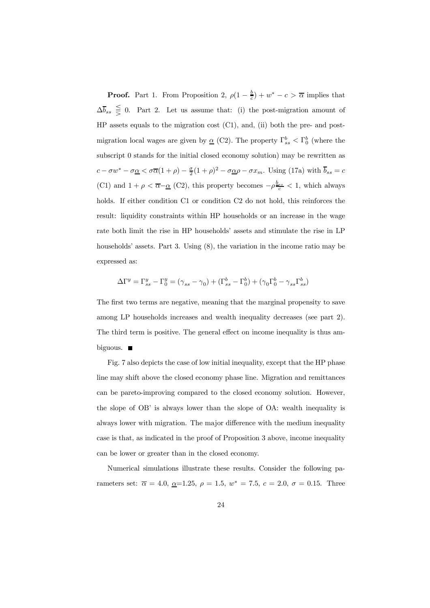**Proof.** Part 1. From Proposition 2,  $\rho(1 - \frac{b}{c}) + w^* - c > \overline{\alpha}$  implies that  $\Delta \overline{b}_{ss} \leq 0$ . Part 2. Let us assume that: (i) the post-migration amount of HP assets equals to the migration cost (C1), and, (ii) both the pre- and postmigration local wages are given by  $\underline{\alpha}$  (C2). The property  $\Gamma^b_{ss} < \Gamma^b_0$  (where the subscript 0 stands for the initial closed economy solution) may be rewritten as  $c - \sigma w^* - \sigma \underline{\alpha} < \sigma \overline{\alpha} (1 + \rho) - \frac{\sigma}{2} (1 + \rho)^2 - \sigma \underline{\alpha} \rho - \sigma x_m$ . Using (17a) with  $\overline{b}_{ss} = c$ (C1) and  $1 + \rho < \overline{\alpha} - \underline{\alpha}$  (C2), this property becomes  $-\rho \frac{b_{ss}}{c} < 1$ , which always holds. If either condition C1 or condition C2 do not hold, this reinforces the result: liquidity constraints within HP households or an increase in the wage rate both limit the rise in HP households' assets and stimulate the rise in LP households' assets. Part 3. Using  $(8)$ , the variation in the income ratio may be expressed as:

$$
\Delta \Gamma^{y} = \Gamma^{y}_{ss} - \Gamma^{y}_{0} = (\gamma_{ss} - \gamma_{0}) + (\Gamma^{b}_{ss} - \Gamma^{b}_{0}) + (\gamma_{0} \Gamma^{b}_{0} - \gamma_{ss} \Gamma^{b}_{ss})
$$

The first two terms are negative, meaning that the marginal propensity to save among LP households increases and wealth inequality decreases (see part 2). The third term is positive. The general effect on income inequality is thus ambiguous.  $\blacksquare$ 

Fig. 7 also depicts the case of low initial inequality, except that the HP phase line may shift above the closed economy phase line. Migration and remittances can be pareto-improving compared to the closed economy solution. However, the slope of OB' is always lower than the slope of OA: wealth inequality is always lower with migration. The major difference with the medium inequality case is that, as indicated in the proof of Proposition 3 above, income inequality can be lower or greater than in the closed economy.

Numerical simulations illustrate these results. Consider the following parameters set:  $\bar{\alpha} = 4.0, \, \underline{\alpha} = 1.25, \, \rho = 1.5, \, w^* = 7.5, \, c = 2.0, \, \sigma = 0.15.$  Three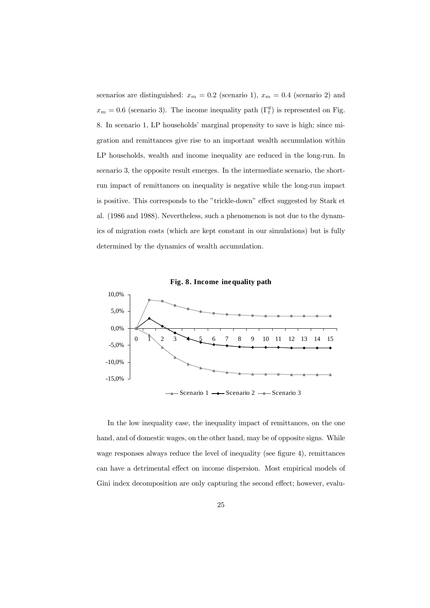scenarios are distinguished:  $x_m = 0.2$  (scenario 1),  $x_m = 0.4$  (scenario 2) and  $x_m = 0.6$  (scenario 3). The income inequality path  $(\Gamma_t^y)$  is represented on Fig. 8. In scenario 1, LP households' marginal propensity to save is high; since migration and remittances give rise to an important wealth accumulation within LP households, wealth and income inequality are reduced in the long-run. In scenario 3, the opposite result emerges. In the intermediate scenario, the shortrun impact of remittances on inequality is negative while the long-run impact is positive. This corresponds to the "trickle-down" effect suggested by Stark et al. (1986 and 1988). Nevertheless, such a phenomenon is not due to the dynamics of migration costs (which are kept constant in our simulations) but is fully determined by the dynamics of wealth accumulation.



 $-$ Scenario 1  $\rightarrow$  Scenario 2  $\rightarrow$  Scenario 3

In the low inequality case, the inequality impact of remittances, on the one hand, and of domestic wages, on the other hand, may be of opposite signs. While wage responses always reduce the level of inequality (see figure 4), remittances can have a detrimental effect on income dispersion. Most empirical models of Gini index decomposition are only capturing the second effect; however, evalu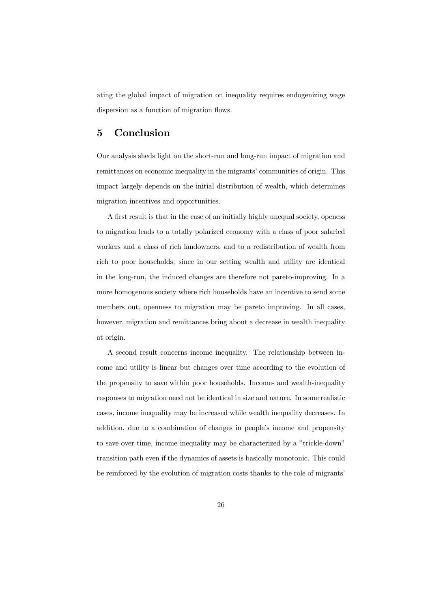ating the global impact of migration on inequality requires endogenizing wage dispersion as a function of migration flows.

#### 5 Conclusion

Our analysis sheds light on the short-run and long-run impact of migration and remittances on economic inequality in the migrants' communities of origin. This impact largely depends on the initial distribution of wealth, which determines migration incentives and opportunities.

A first result is that in the case of an initially highly unequal society, openess to migration leads to a totally polarized economy with a class of poor salaried workers and a class of rich landowners, and to a redistribution of wealth from rich to poor households; since in our setting wealth and utility are identical in the long-run, the induced changes are therefore not pareto-improving. In a more homogenous society where rich households have an incentive to send some members out, openness to migration may be pareto improving. In all cases, however, migration and remittances bring about a decrease in wealth inequality at origin.

A second result concerns income inequality. The relationship between income and utility is linear but changes over time according to the evolution of the propensity to save within poor households. Income- and wealth-inequality responses to migration need not be identical in size and nature. In some realistic cases, income inequality may be increased while wealth inequality decreases. In addition, due to a combination of changes in people's income and propensity to save over time, income inequality may be characterized by a "trickle-down" transition path even if the dynamics of assets is basically monotonic. This could be reinforced by the evolution of migration costs thanks to the role of migrants'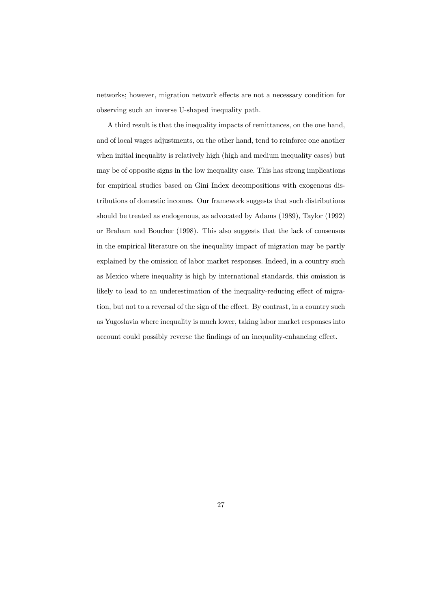networks; however, migration network effects are not a necessary condition for observing such an inverse U-shaped inequality path.

A third result is that the inequality impacts of remittances, on the one hand, and of local wages adjustments, on the other hand, tend to reinforce one another when initial inequality is relatively high (high and medium inequality cases) but may be of opposite signs in the low inequality case. This has strong implications for empirical studies based on Gini Index decompositions with exogenous distributions of domestic incomes. Our framework suggests that such distributions should be treated as endogenous, as advocated by Adams (1989), Taylor (1992) or Braham and Boucher (1998). This also suggests that the lack of consensus in the empirical literature on the inequality impact of migration may be partly explained by the omission of labor market responses. Indeed, in a country such as Mexico where inequality is high by international standards, this omission is likely to lead to an underestimation of the inequality-reducing effect of migration, but not to a reversal of the sign of the effect. By contrast, in a country such as Yugoslavia where inequality is much lower, taking labor market responses into account could possibly reverse the findings of an inequality-enhancing effect.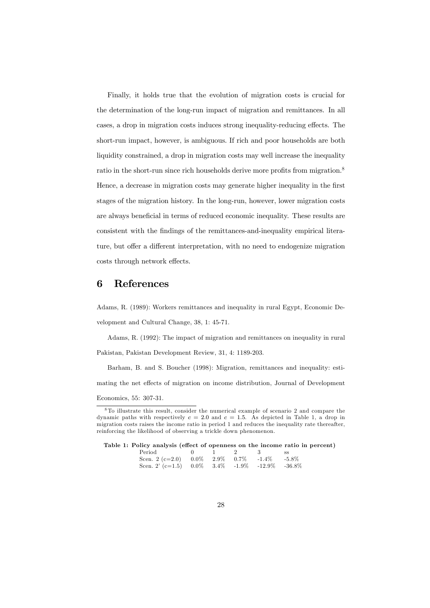Finally, it holds true that the evolution of migration costs is crucial for the determination of the long-run impact of migration and remittances. In all cases, a drop in migration costs induces strong inequality-reducing effects. The short-run impact, however, is ambiguous. If rich and poor households are both liquidity constrained, a drop in migration costs may well increase the inequality ratio in the short-run since rich households derive more profits from migration. $8$ Hence, a decrease in migration costs may generate higher inequality in the first stages of the migration history. In the long-run, however, lower migration costs are always beneficial in terms of reduced economic inequality. These results are consistent with the findings of the remittances-and-inequality empirical literature, but offer a different interpretation, with no need to endogenize migration costs through network effects.

#### 6 References

Adams, R. (1989): Workers remittances and inequality in rural Egypt, Economic Development and Cultural Change, 38, 1: 45-71.

Adams, R. (1992): The impact of migration and remittances on inequality in rural Pakistan, Pakistan Development Review, 31, 4: 1189-203.

Barham, B. and S. Boucher (1998): Migration, remittances and inequality: esti-

mating the net effects of migration on income distribution, Journal of Development

<sup>8</sup> To illustrate this result, consider the numerical example of scenario 2 and compare the dynamic paths with respectively  $c = 2.0$  and  $c = 1.5$ . As depicted in Table 1, a drop in migration costs raises the income ratio in period 1 and reduces the inequality rate thereafter, reinforcing the likelihood of observing a trickle down phenomenon.

|  | Table 1: Policy analysis (effect of openness on the income ratio in percent) |  |  |  |  |  |  |
|--|------------------------------------------------------------------------------|--|--|--|--|--|--|
|--|------------------------------------------------------------------------------|--|--|--|--|--|--|

| $Period$ and $I$                                      |  | $0 \quad 1 \quad 2 \quad 3$ | - SS |
|-------------------------------------------------------|--|-----------------------------|------|
| Scen. 2 (c=2.0) $0.0\%$ 2.9% $0.7\%$ -1.4% -5.8%      |  |                             |      |
| Scen. 2' (c=1.5) $0.0\%$ 3.4\% -1.9\% -12.9\% -36.8\% |  |                             |      |

Economics, 55: 307-31.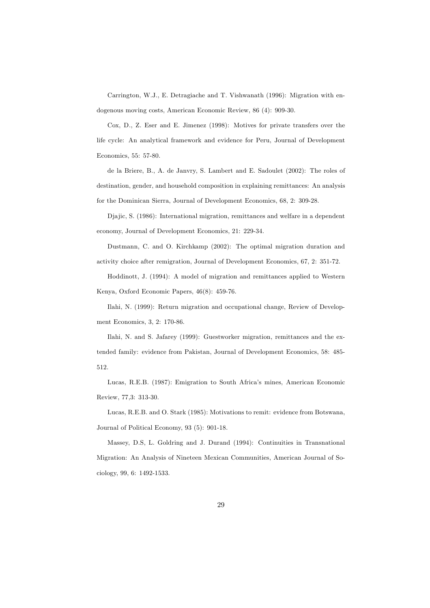Carrington, W.J., E. Detragiache and T. Vishwanath (1996): Migration with endogenous moving costs, American Economic Review, 86 (4): 909-30.

Cox, D., Z. Eser and E. Jimenez (1998): Motives for private transfers over the life cycle: An analytical framework and evidence for Peru, Journal of Development Economics, 55: 57-80.

de la Briere, B., A. de Janvry, S. Lambert and E. Sadoulet (2002): The roles of destination, gender, and household composition in explaining remittances: An analysis for the Dominican Sierra, Journal of Development Economics, 68, 2: 309-28.

Djajic, S. (1986): International migration, remittances and welfare in a dependent economy, Journal of Development Economics, 21: 229-34.

Dustmann, C. and O. Kirchkamp (2002): The optimal migration duration and activity choice after remigration, Journal of Development Economics, 67, 2: 351-72.

Hoddinott, J. (1994): A model of migration and remittances applied to Western Kenya, Oxford Economic Papers, 46(8): 459-76.

Ilahi, N. (1999): Return migration and occupational change, Review of Development Economics, 3, 2: 170-86.

Ilahi, N. and S. Jafarey (1999): Guestworker migration, remittances and the extended family: evidence from Pakistan, Journal of Development Economics, 58: 485- 512.

Lucas, R.E.B. (1987): Emigration to South Africa's mines, American Economic Review, 77,3: 313-30.

Lucas, R.E.B. and O. Stark (1985): Motivations to remit: evidence from Botswana, Journal of Political Economy, 93 (5): 901-18.

Massey, D.S, L. Goldring and J. Durand (1994): Continuities in Transnational Migration: An Analysis of Nineteen Mexican Communities, American Journal of Sociology, 99, 6: 1492-1533.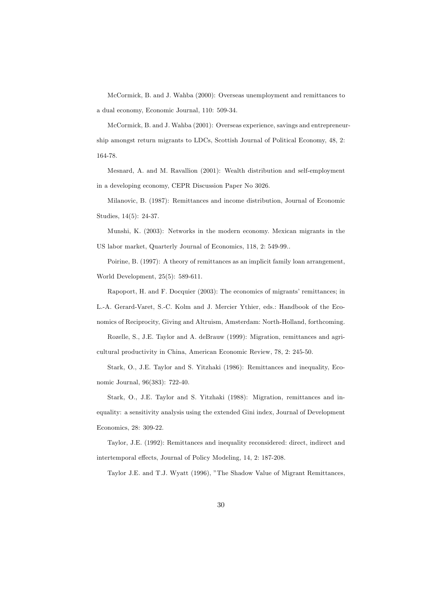McCormick, B. and J. Wahba (2000): Overseas unemployment and remittances to a dual economy, Economic Journal, 110: 509-34.

McCormick, B. and J. Wahba (2001): Overseas experience, savings and entrepreneurship amongst return migrants to LDCs, Scottish Journal of Political Economy, 48, 2: 164-78.

Mesnard, A. and M. Ravallion (2001): Wealth distribution and self-employment in a developing economy, CEPR Discussion Paper No 3026.

Milanovic, B. (1987): Remittances and income distribution, Journal of Economic Studies, 14(5): 24-37.

Munshi, K. (2003): Networks in the modern economy. Mexican migrants in the US labor market, Quarterly Journal of Economics, 118, 2: 549-99..

Poirine, B. (1997): A theory of remittances as an implicit family loan arrangement, World Development, 25(5): 589-611.

Rapoport, H. and F. Docquier (2003): The economics of migrants' remittances; in L.-A. Gerard-Varet, S.-C. Kolm and J. Mercier Ythier, eds.: Handbook of the Economics of Reciprocity, Giving and Altruism, Amsterdam: North-Holland, forthcoming.

Rozelle, S., J.E. Taylor and A. deBrauw (1999): Migration, remittances and agricultural productivity in China, American Economic Review, 78, 2: 245-50.

Stark, O., J.E. Taylor and S. Yitzhaki (1986): Remittances and inequality, Economic Journal, 96(383): 722-40.

Stark, O., J.E. Taylor and S. Yitzhaki (1988): Migration, remittances and inequality: a sensitivity analysis using the extended Gini index, Journal of Development Economics, 28: 309-22.

Taylor, J.E. (1992): Remittances and inequality reconsidered: direct, indirect and intertemporal effects, Journal of Policy Modeling, 14, 2: 187-208.

Taylor J.E. and T.J. Wyatt (1996), "The Shadow Value of Migrant Remittances,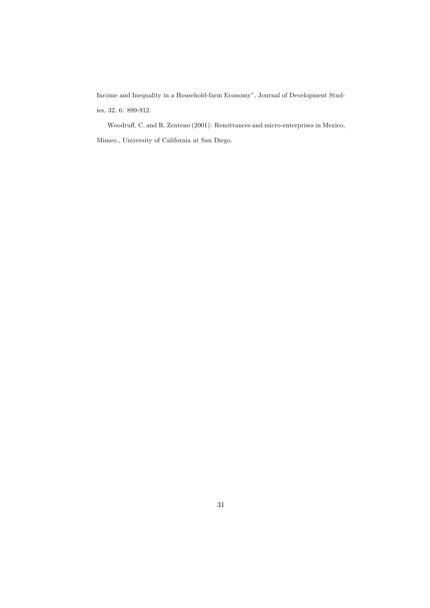Income and Inequality in a Household-farm Economy", Journal of Development Studies, 32, 6: 899-912.

Woodruff, C. and R. Zenteno (2001): Remittances and micro-enterprises in Mexico, Mimeo., University of California at San Diego.